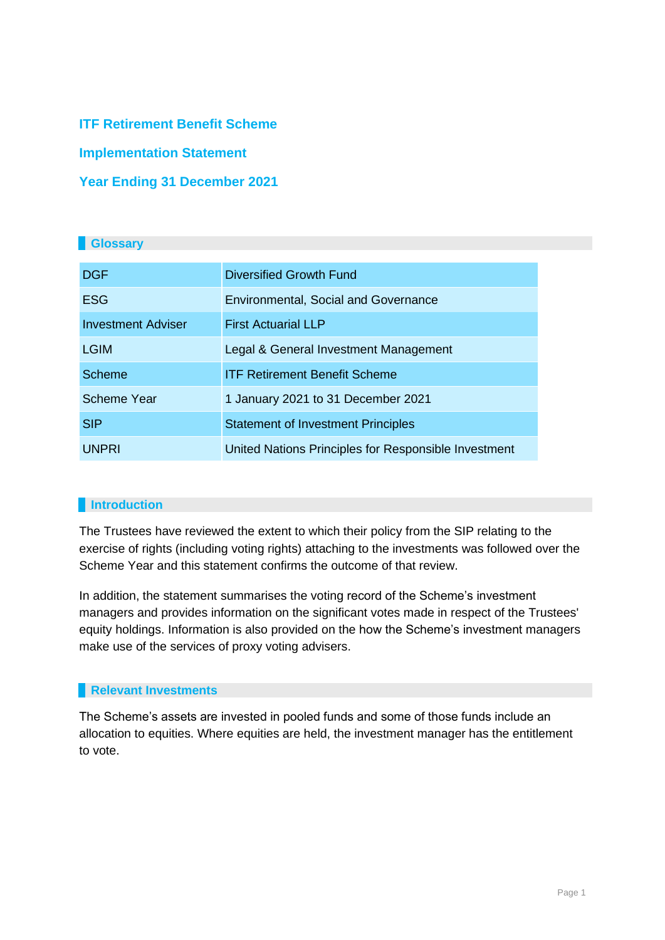**ITF Retirement Benefit Scheme**

**Implementation Statement**

# **Year Ending 31 December 2021**

## **Glossary**

| <b>DGF</b>                | <b>Diversified Growth Fund</b>                       |
|---------------------------|------------------------------------------------------|
| <b>ESG</b>                | <b>Environmental, Social and Governance</b>          |
| <b>Investment Adviser</b> | <b>First Actuarial LLP</b>                           |
| <b>LGIM</b>               | Legal & General Investment Management                |
| <b>Scheme</b>             | <b>ITF Retirement Benefit Scheme</b>                 |
| <b>Scheme Year</b>        | 1 January 2021 to 31 December 2021                   |
| <b>SIP</b>                | <b>Statement of Investment Principles</b>            |
| <b>UNPRI</b>              | United Nations Principles for Responsible Investment |

## **Introduction**

The Trustees have reviewed the extent to which their policy from the SIP relating to the exercise of rights (including voting rights) attaching to the investments was followed over the Scheme Year and this statement confirms the outcome of that review.

In addition, the statement summarises the voting record of the Scheme's investment managers and provides information on the significant votes made in respect of the Trustees' equity holdings. Information is also provided on the how the Scheme's investment managers make use of the services of proxy voting advisers.

### **Relevant Investments**

The Scheme's assets are invested in pooled funds and some of those funds include an allocation to equities. Where equities are held, the investment manager has the entitlement to vote.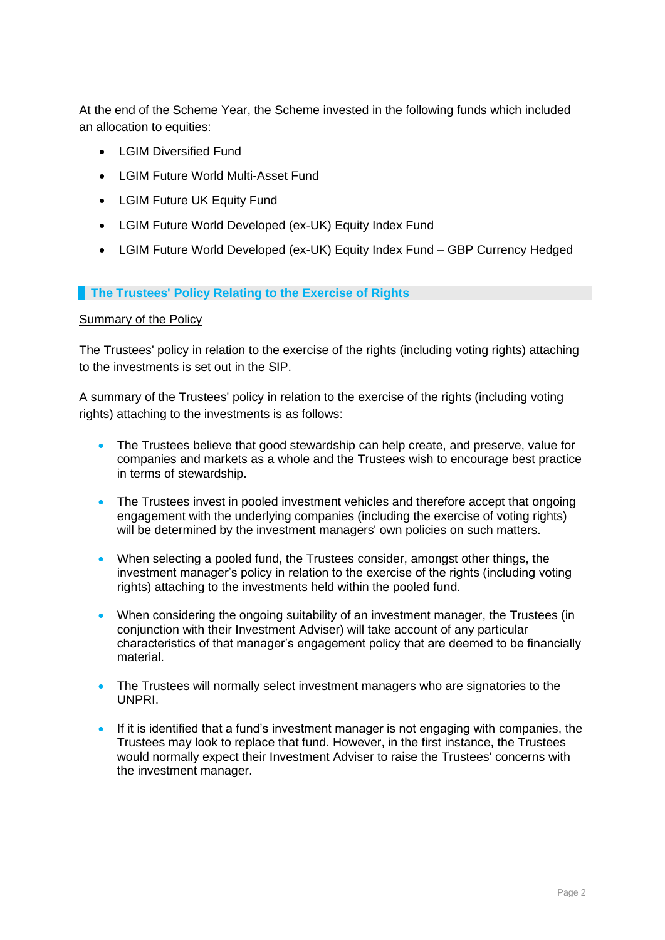At the end of the Scheme Year, the Scheme invested in the following funds which included an allocation to equities:

- I GIM Diversified Fund
- LGIM Future World Multi-Asset Fund
- LGIM Future UK Equity Fund
- LGIM Future World Developed (ex-UK) Equity Index Fund
- LGIM Future World Developed (ex-UK) Equity Index Fund GBP Currency Hedged

### **The Trustees' Policy Relating to the Exercise of Rights**

### Summary of the Policy

The Trustees' policy in relation to the exercise of the rights (including voting rights) attaching to the investments is set out in the SIP.

A summary of the Trustees' policy in relation to the exercise of the rights (including voting rights) attaching to the investments is as follows:

- The Trustees believe that good stewardship can help create, and preserve, value for companies and markets as a whole and the Trustees wish to encourage best practice in terms of stewardship.
- The Trustees invest in pooled investment vehicles and therefore accept that ongoing engagement with the underlying companies (including the exercise of voting rights) will be determined by the investment managers' own policies on such matters.
- When selecting a pooled fund, the Trustees consider, amongst other things, the investment manager's policy in relation to the exercise of the rights (including voting rights) attaching to the investments held within the pooled fund.
- When considering the ongoing suitability of an investment manager, the Trustees (in conjunction with their Investment Adviser) will take account of any particular characteristics of that manager's engagement policy that are deemed to be financially material.
- The Trustees will normally select investment managers who are signatories to the UNPRI.
- If it is identified that a fund's investment manager is not engaging with companies, the Trustees may look to replace that fund. However, in the first instance, the Trustees would normally expect their Investment Adviser to raise the Trustees' concerns with the investment manager.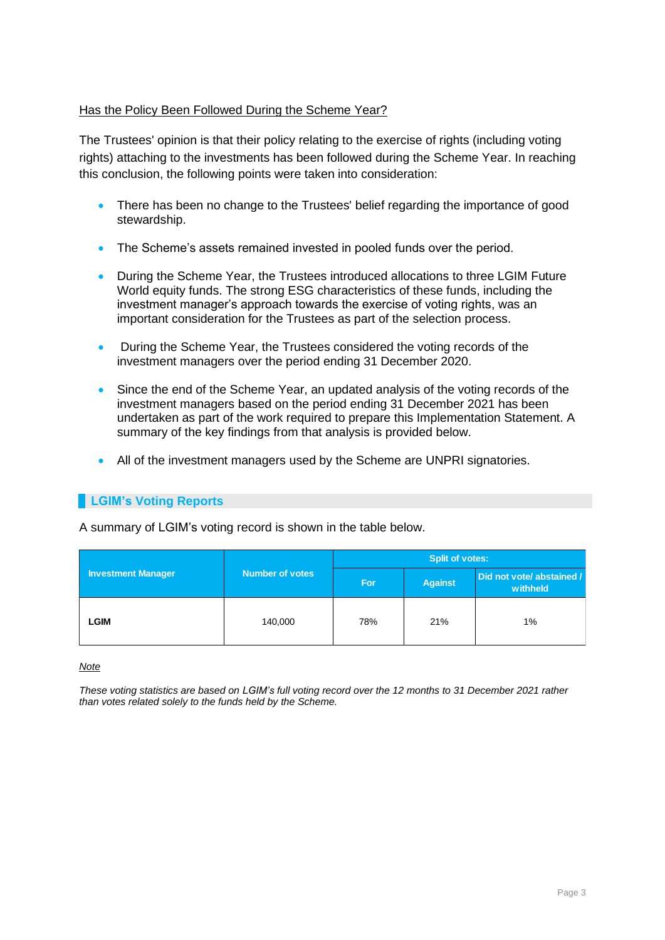### Has the Policy Been Followed During the Scheme Year?

The Trustees' opinion is that their policy relating to the exercise of rights (including voting rights) attaching to the investments has been followed during the Scheme Year. In reaching this conclusion, the following points were taken into consideration:

- There has been no change to the Trustees' belief regarding the importance of good stewardship.
- The Scheme's assets remained invested in pooled funds over the period.
- During the Scheme Year, the Trustees introduced allocations to three LGIM Future World equity funds. The strong ESG characteristics of these funds, including the investment manager's approach towards the exercise of voting rights, was an important consideration for the Trustees as part of the selection process.
- During the Scheme Year, the Trustees considered the voting records of the investment managers over the period ending 31 December 2020.
- Since the end of the Scheme Year, an updated analysis of the voting records of the investment managers based on the period ending 31 December 2021 has been undertaken as part of the work required to prepare this Implementation Statement. A summary of the key findings from that analysis is provided below.
- All of the investment managers used by the Scheme are UNPRI signatories.

## **LGIM's Voting Reports**

A summary of LGIM's voting record is shown in the table below.

| <b>Investment Manager</b> |                        | <b>Split of votes:</b> |                |                                       |  |
|---------------------------|------------------------|------------------------|----------------|---------------------------------------|--|
|                           | <b>Number of votes</b> | For                    | <b>Against</b> | Did not vote/ abstained /<br>withheld |  |
| <b>LGIM</b>               | 140,000                | 78%                    | 21%            | $1\%$                                 |  |

*Note*

*These voting statistics are based on LGIM's full voting record over the 12 months to 31 December 2021 rather than votes related solely to the funds held by the Scheme.*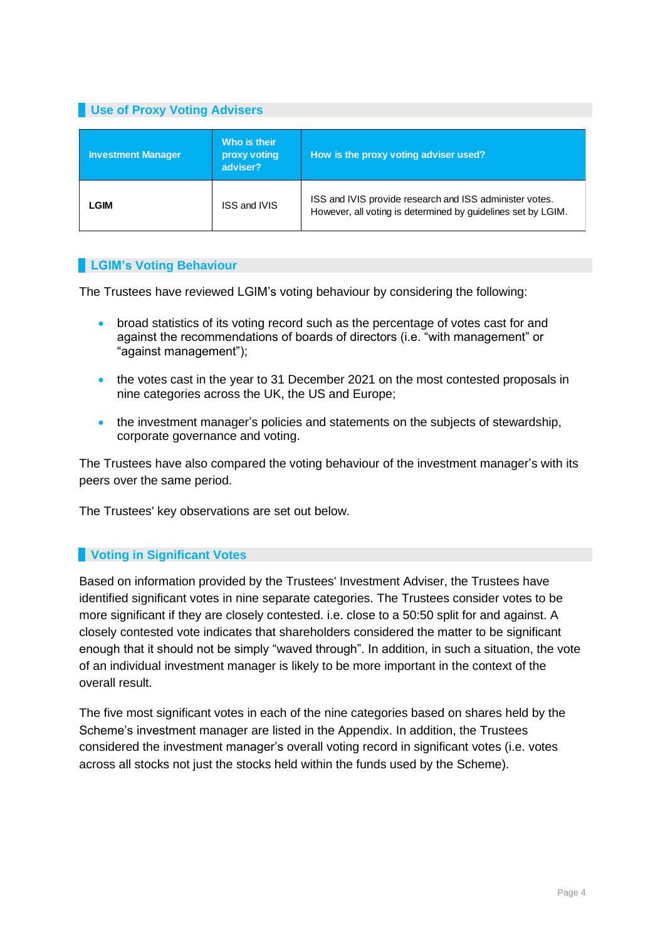# **Use of Proxy Voting Advisers**

| <b>Investment Manager</b> | Who is their<br>proxy voting<br>adviser? | How is the proxy voting adviser used?                                                                                   |
|---------------------------|------------------------------------------|-------------------------------------------------------------------------------------------------------------------------|
| LGIM                      | <b>ISS and IVIS</b>                      | ISS and IVIS provide research and ISS administer votes.<br>However, all voting is determined by guidelines set by LGIM. |

### **LGIM's Voting Behaviour**

The Trustees have reviewed LGIM's voting behaviour by considering the following:

- broad statistics of its voting record such as the percentage of votes cast for and against the recommendations of boards of directors (i.e. "with management" or "against management");
- the votes cast in the year to 31 December 2021 on the most contested proposals in nine categories across the UK, the US and Europe;
- the investment manager's policies and statements on the subjects of stewardship, corporate governance and voting.

The Trustees have also compared the voting behaviour of the investment manager's with its peers over the same period.

The Trustees' key observations are set out below.

### **Voting in Significant Votes**

Based on information provided by the Trustees' Investment Adviser, the Trustees have identified significant votes in nine separate categories. The Trustees consider votes to be more significant if they are closely contested. i.e. close to a 50:50 split for and against. A closely contested vote indicates that shareholders considered the matter to be significant enough that it should not be simply "waved through". In addition, in such a situation, the vote of an individual investment manager is likely to be more important in the context of the overall result.

The five most significant votes in each of the nine categories based on shares held by the Scheme's investment manager are listed in the Appendix. In addition, the Trustees considered the investment manager's overall voting record in significant votes (i.e. votes across all stocks not just the stocks held within the funds used by the Scheme).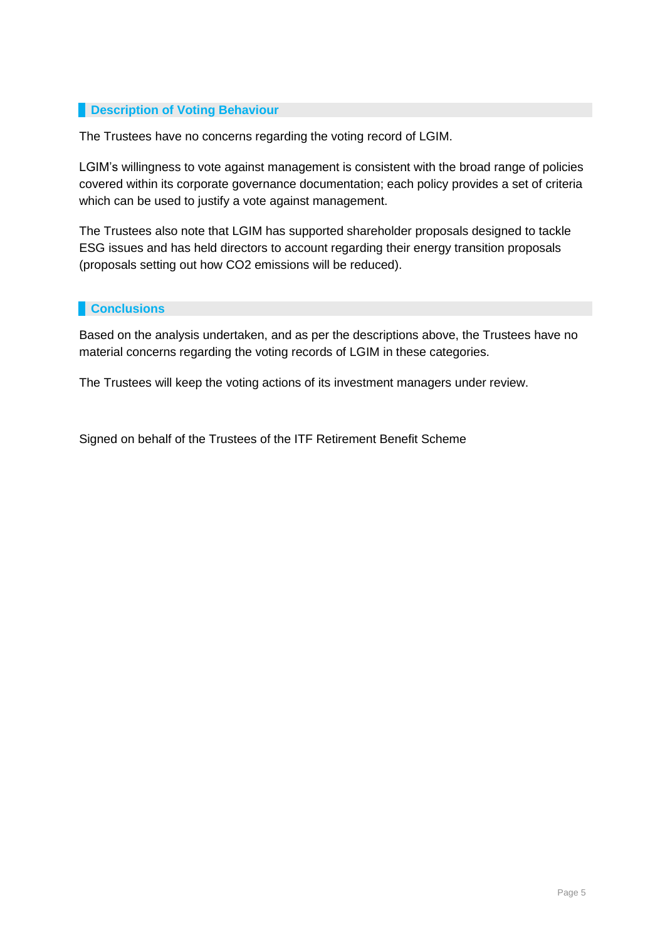## **Paragele Behaviour** Description of Voting Behaviour

The Trustees have no concerns regarding the voting record of LGIM.

LGIM's willingness to vote against management is consistent with the broad range of policies covered within its corporate governance documentation; each policy provides a set of criteria which can be used to justify a vote against management.

The Trustees also note that LGIM has supported shareholder proposals designed to tackle ESG issues and has held directors to account regarding their energy transition proposals (proposals setting out how CO2 emissions will be reduced).

## **Conclusions**

Based on the analysis undertaken, and as per the descriptions above, the Trustees have no material concerns regarding the voting records of LGIM in these categories.

The Trustees will keep the voting actions of its investment managers under review.

Signed on behalf of the Trustees of the ITF Retirement Benefit Scheme